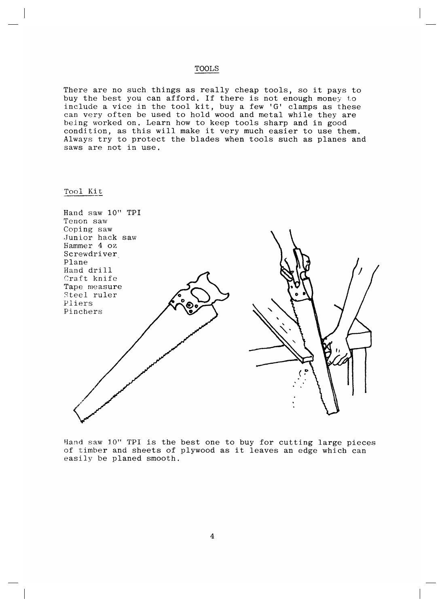## TOOLS

There are no such things as really cheap tools, so it pays to buy the best you can afford. If there is not enough money to include a vice in the tool kit, buy a few 'G' clamps as these can very often be used to hold wood and metal while they are being worked on. Learn how to keep tools sharp and in good condition, as this will make it very much easier to use them. Always try to protect the blades when tools such as planes and saws are not in use.

## Tool Kit

| Hand saw 10" TPI<br>Tenon saw |  |
|-------------------------------|--|
| Coping saw<br>Junior hack saw |  |
| Hammer 4 oz                   |  |
| Screwdriver                   |  |
| Plane                         |  |
| Hand drill                    |  |
| Craft knife                   |  |
| Tape measure                  |  |
| Steel ruler                   |  |
| Pliers<br>Pinchers            |  |
|                               |  |
|                               |  |
|                               |  |
|                               |  |
|                               |  |
|                               |  |
|                               |  |
|                               |  |
|                               |  |
|                               |  |
|                               |  |
|                               |  |

Hand saw 10" TPI is the best one to buy for cutting large pieces of timber and sheets of plywood as it leaves an edge which can easily be planed smooth.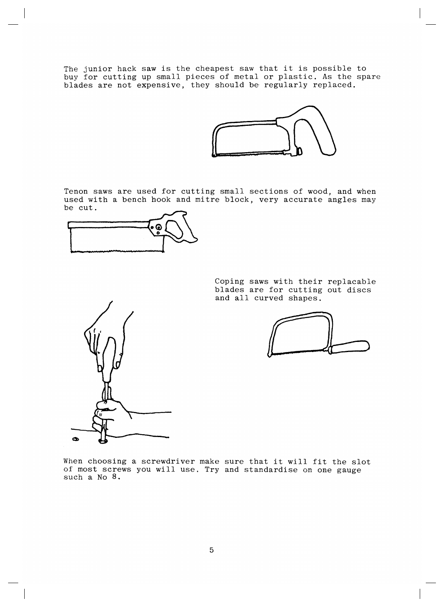The junior hack saw is the cheapest saw that it is possible to buy for cutting up small pieces of metal or plastic. As the spare blades are not expensive, they should be regularly replaced.



Tenon saws are used for cutting small sections of wood, and when used with a bench hook and mitre block, very accurate angles may be cut.



Coping saws with their replacable blades are for cutting out discs and all curved shapes.



When choosing a screwdriver make sure that it will fit the slot of most screws you will use. Try and standardise on one gauge such a No 8.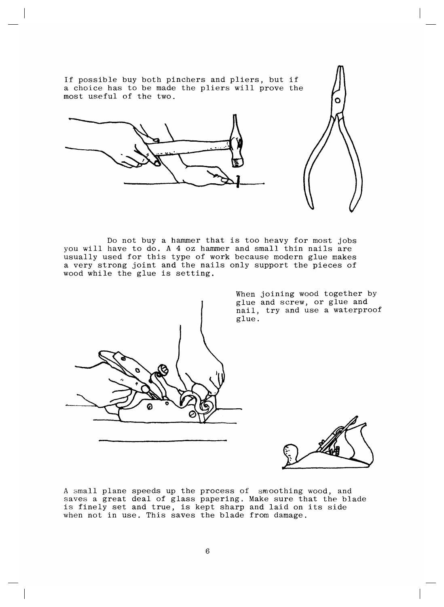

Do not buy a hammer that is too heavy for most jobs you will have to do. A 4 oz hammer and small thin nails are usually used for this type of work because modern glue makes a very strong joint and the nails only support the pieces of wood while the glue is setting.



When joining wood together by glue and screw, or glue and nail, try and use a waterproof glue.



A small plane speeds up the process of smoothing wood, and saves a great deal of glass papering. Make sure that the blade is finely set and true, is kept sharp and laid on its side when not in use. This saves the blade from damage.